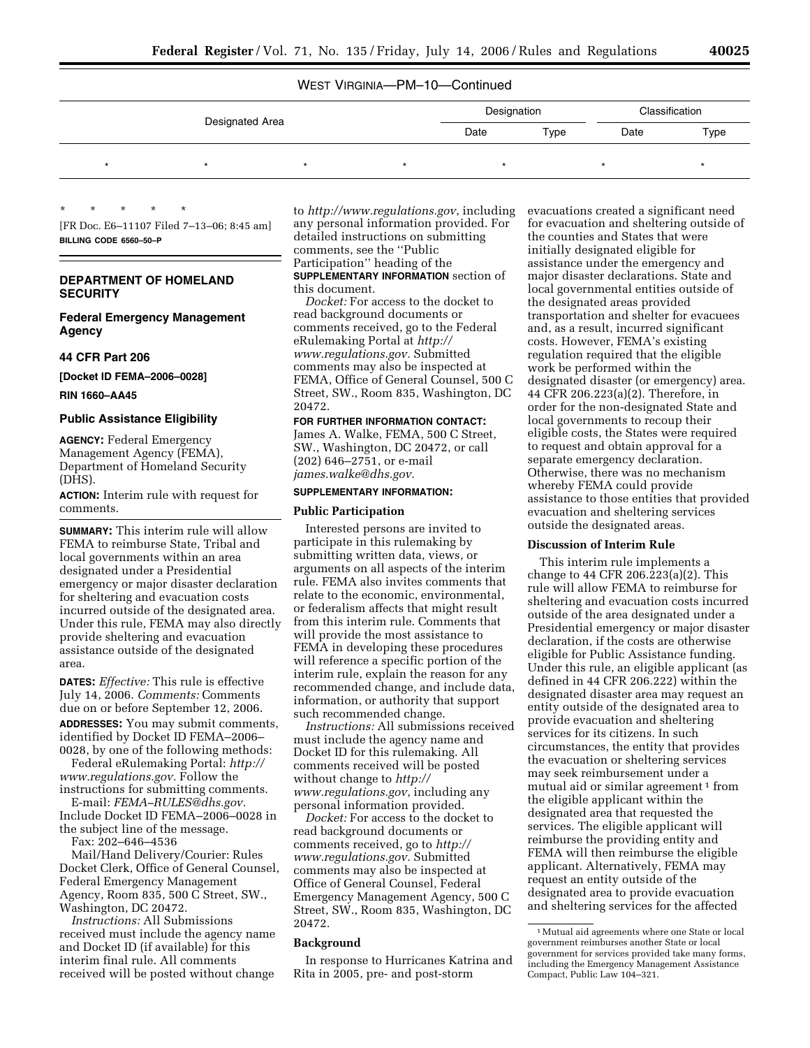# WEST VIRGINIA—PM–10—Continued

| Designated Area |  |  |      | Designation |      | Classification |  |
|-----------------|--|--|------|-------------|------|----------------|--|
|                 |  |  | Date | Type        | Date | Type           |  |
|                 |  |  |      |             |      |                |  |

[FR Doc. E6–11107 Filed 7–13–06; 8:45 am] **BILLING CODE 6560–50–P** 

## **DEPARTMENT OF HOMELAND SECURITY**

\* \* \* \* \*

**Federal Emergency Management Agency** 

## **44 CFR Part 206**

**[Docket ID FEMA–2006–0028]** 

#### **RIN 1660–AA45**

## **Public Assistance Eligibility**

**AGENCY:** Federal Emergency Management Agency (FEMA), Department of Homeland Security (DHS).

**ACTION:** Interim rule with request for comments.

**SUMMARY:** This interim rule will allow FEMA to reimburse State, Tribal and local governments within an area designated under a Presidential emergency or major disaster declaration for sheltering and evacuation costs incurred outside of the designated area. Under this rule, FEMA may also directly provide sheltering and evacuation assistance outside of the designated area.

**DATES:** *Effective:* This rule is effective July 14, 2006. *Comments:* Comments due on or before September 12, 2006. **ADDRESSES:** You may submit comments, identified by Docket ID FEMA–2006– 0028, by one of the following methods:

Federal eRulemaking Portal: *[http://](http://www.regulations.gov)  [www.regulations.gov.](http://www.regulations.gov)* Follow the instructions for submitting comments.

E-mail: *[FEMA–RULES@dhs.gov.](mailto:FEMA-RULES@dhs.gov)*  Include Docket ID FEMA–2006–0028 in the subject line of the message.

Fax: 202–646–4536

Mail/Hand Delivery/Courier: Rules Docket Clerk, Office of General Counsel, Federal Emergency Management Agency, Room 835, 500 C Street, SW., Washington, DC 20472.

*Instructions:* All Submissions received must include the agency name and Docket ID (if available) for this interim final rule. All comments received will be posted without change

to *<http://www.regulations.gov>*, including any personal information provided. For detailed instructions on submitting comments, see the ''Public Participation'' heading of the

**SUPPLEMENTARY INFORMATION** section of this document.

*Docket:* For access to the docket to read background documents or comments received, go to the Federal eRulemaking Portal at *[http://](http://www.regulations.gov)  [www.regulations.gov.](http://www.regulations.gov)* Submitted comments may also be inspected at FEMA, Office of General Counsel, 500 C Street, SW., Room 835, Washington, DC 20472.

## **FOR FURTHER INFORMATION CONTACT:**

James A. Walke, FEMA, 500 C Street, SW., Washington, DC 20472, or call (202) 646–2751, or e-mail *[james.walke@dhs.gov.](mailto:james.walke@dhs.gov)* 

## **SUPPLEMENTARY INFORMATION:**

#### **Public Participation**

Interested persons are invited to participate in this rulemaking by submitting written data, views, or arguments on all aspects of the interim rule. FEMA also invites comments that relate to the economic, environmental, or federalism affects that might result from this interim rule. Comments that will provide the most assistance to FEMA in developing these procedures will reference a specific portion of the interim rule, explain the reason for any recommended change, and include data, information, or authority that support such recommended change.

*Instructions:* All submissions received must include the agency name and Docket ID for this rulemaking. All comments received will be posted without change to *[http://](http://www.regulations.gov) [www.regulations.gov](http://www.regulations.gov)*, including any personal information provided.

*Docket:* For access to the docket to read background documents or comments received, go to *[http://](http://www.regulations.gov)  [www.regulations.gov.](http://www.regulations.gov)* Submitted comments may also be inspected at Office of General Counsel, Federal Emergency Management Agency, 500 C Street, SW., Room 835, Washington, DC 20472.

### **Background**

In response to Hurricanes Katrina and Rita in 2005, pre- and post-storm

evacuations created a significant need for evacuation and sheltering outside of the counties and States that were initially designated eligible for assistance under the emergency and major disaster declarations. State and local governmental entities outside of the designated areas provided transportation and shelter for evacuees and, as a result, incurred significant costs. However, FEMA's existing regulation required that the eligible work be performed within the designated disaster (or emergency) area. 44 CFR 206.223(a)(2). Therefore, in order for the non-designated State and local governments to recoup their eligible costs, the States were required to request and obtain approval for a separate emergency declaration. Otherwise, there was no mechanism whereby FEMA could provide assistance to those entities that provided evacuation and sheltering services outside the designated areas.

## **Discussion of Interim Rule**

This interim rule implements a change to 44 CFR 206.223(a)(2). This rule will allow FEMA to reimburse for sheltering and evacuation costs incurred outside of the area designated under a Presidential emergency or major disaster declaration, if the costs are otherwise eligible for Public Assistance funding. Under this rule, an eligible applicant (as defined in 44 CFR 206.222) within the designated disaster area may request an entity outside of the designated area to provide evacuation and sheltering services for its citizens. In such circumstances, the entity that provides the evacuation or sheltering services may seek reimbursement under a mutual aid or similar agreement<sup>1</sup> from the eligible applicant within the designated area that requested the services. The eligible applicant will reimburse the providing entity and FEMA will then reimburse the eligible applicant. Alternatively, FEMA may request an entity outside of the designated area to provide evacuation and sheltering services for the affected

<sup>1</sup>Mutual aid agreements where one State or local government reimburses another State or local government for services provided take many forms, including the Emergency Management Assistance Compact, Public Law 104–321.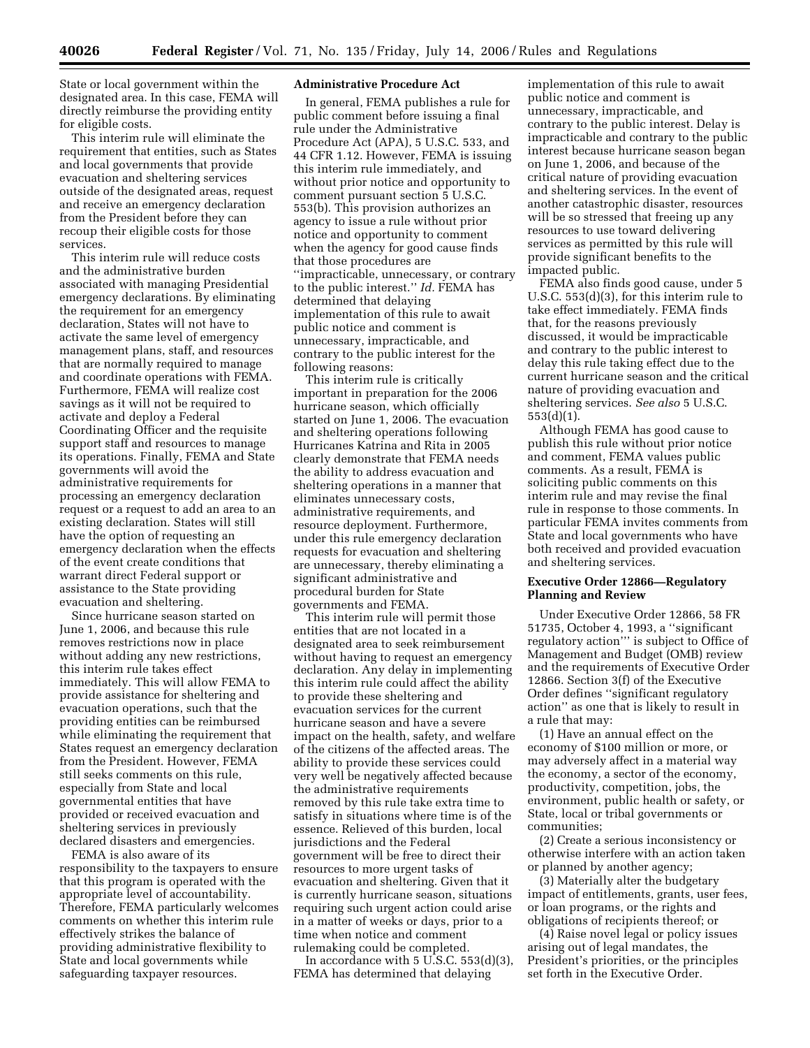State or local government within the designated area. In this case, FEMA will directly reimburse the providing entity for eligible costs.

This interim rule will eliminate the requirement that entities, such as States and local governments that provide evacuation and sheltering services outside of the designated areas, request and receive an emergency declaration from the President before they can recoup their eligible costs for those services.

This interim rule will reduce costs and the administrative burden associated with managing Presidential emergency declarations. By eliminating the requirement for an emergency declaration, States will not have to activate the same level of emergency management plans, staff, and resources that are normally required to manage and coordinate operations with FEMA. Furthermore, FEMA will realize cost savings as it will not be required to activate and deploy a Federal Coordinating Officer and the requisite support staff and resources to manage its operations. Finally, FEMA and State governments will avoid the administrative requirements for processing an emergency declaration request or a request to add an area to an existing declaration. States will still have the option of requesting an emergency declaration when the effects of the event create conditions that warrant direct Federal support or assistance to the State providing evacuation and sheltering.

Since hurricane season started on June 1, 2006, and because this rule removes restrictions now in place without adding any new restrictions, this interim rule takes effect immediately. This will allow FEMA to provide assistance for sheltering and evacuation operations, such that the providing entities can be reimbursed while eliminating the requirement that States request an emergency declaration from the President. However, FEMA still seeks comments on this rule, especially from State and local governmental entities that have provided or received evacuation and sheltering services in previously declared disasters and emergencies.

FEMA is also aware of its responsibility to the taxpayers to ensure that this program is operated with the appropriate level of accountability. Therefore, FEMA particularly welcomes comments on whether this interim rule effectively strikes the balance of providing administrative flexibility to State and local governments while safeguarding taxpayer resources.

## **Administrative Procedure Act**

In general, FEMA publishes a rule for public comment before issuing a final rule under the Administrative Procedure Act (APA), 5 U.S.C. 533, and 44 CFR 1.12. However, FEMA is issuing this interim rule immediately, and without prior notice and opportunity to comment pursuant section 5 U.S.C. 553(b). This provision authorizes an agency to issue a rule without prior notice and opportunity to comment when the agency for good cause finds that those procedures are ''impracticable, unnecessary, or contrary to the public interest.'' *Id.* FEMA has determined that delaying implementation of this rule to await public notice and comment is unnecessary, impracticable, and contrary to the public interest for the following reasons:

This interim rule is critically important in preparation for the 2006 hurricane season, which officially started on June 1, 2006. The evacuation and sheltering operations following Hurricanes Katrina and Rita in 2005 clearly demonstrate that FEMA needs the ability to address evacuation and sheltering operations in a manner that eliminates unnecessary costs, administrative requirements, and resource deployment. Furthermore, under this rule emergency declaration requests for evacuation and sheltering are unnecessary, thereby eliminating a significant administrative and procedural burden for State governments and FEMA.

This interim rule will permit those entities that are not located in a designated area to seek reimbursement without having to request an emergency declaration. Any delay in implementing this interim rule could affect the ability to provide these sheltering and evacuation services for the current hurricane season and have a severe impact on the health, safety, and welfare of the citizens of the affected areas. The ability to provide these services could very well be negatively affected because the administrative requirements removed by this rule take extra time to satisfy in situations where time is of the essence. Relieved of this burden, local jurisdictions and the Federal government will be free to direct their resources to more urgent tasks of evacuation and sheltering. Given that it is currently hurricane season, situations requiring such urgent action could arise in a matter of weeks or days, prior to a time when notice and comment rulemaking could be completed.

In accordance with  $5 \text{ U.S.C. } 553\text{ (d)}(3)$ , FEMA has determined that delaying

implementation of this rule to await public notice and comment is unnecessary, impracticable, and contrary to the public interest. Delay is impracticable and contrary to the public interest because hurricane season began on June 1, 2006, and because of the critical nature of providing evacuation and sheltering services. In the event of another catastrophic disaster, resources will be so stressed that freeing up any resources to use toward delivering services as permitted by this rule will provide significant benefits to the impacted public.

FEMA also finds good cause, under 5 U.S.C. 553(d)(3), for this interim rule to take effect immediately. FEMA finds that, for the reasons previously discussed, it would be impracticable and contrary to the public interest to delay this rule taking effect due to the current hurricane season and the critical nature of providing evacuation and sheltering services. *See also* 5 U.S.C. 553(d)(1).

Although FEMA has good cause to publish this rule without prior notice and comment, FEMA values public comments. As a result, FEMA is soliciting public comments on this interim rule and may revise the final rule in response to those comments. In particular FEMA invites comments from State and local governments who have both received and provided evacuation and sheltering services.

## **Executive Order 12866—Regulatory Planning and Review**

Under Executive Order 12866, 58 FR 51735, October 4, 1993, a ''significant regulatory action''' is subject to Office of Management and Budget (OMB) review and the requirements of Executive Order 12866. Section 3(f) of the Executive Order defines ''significant regulatory action'' as one that is likely to result in a rule that may:

(1) Have an annual effect on the economy of \$100 million or more, or may adversely affect in a material way the economy, a sector of the economy, productivity, competition, jobs, the environment, public health or safety, or State, local or tribal governments or communities;

(2) Create a serious inconsistency or otherwise interfere with an action taken or planned by another agency;

(3) Materially alter the budgetary impact of entitlements, grants, user fees, or loan programs, or the rights and obligations of recipients thereof; or

(4) Raise novel legal or policy issues arising out of legal mandates, the President's priorities, or the principles set forth in the Executive Order.